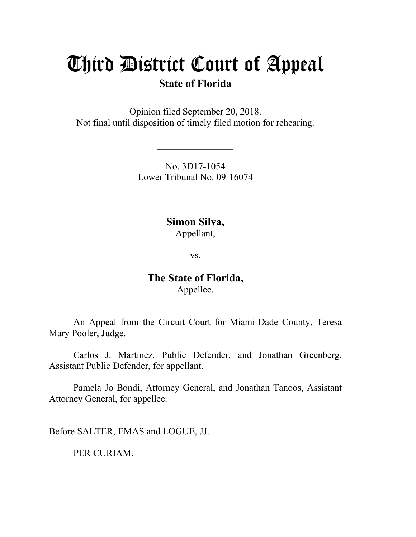# Third District Court of Appeal

# **State of Florida**

Opinion filed September 20, 2018. Not final until disposition of timely filed motion for rehearing.

> No. 3D17-1054 Lower Tribunal No. 09-16074

> > $\frac{1}{2}$

 $\mathcal{L}_\text{max}$ 

**Simon Silva,**

Appellant,

vs.

## **The State of Florida,** Appellee.

An Appeal from the Circuit Court for Miami-Dade County, Teresa Mary Pooler, Judge.

Carlos J. Martinez, Public Defender, and Jonathan Greenberg, Assistant Public Defender, for appellant.

Pamela Jo Bondi, Attorney General, and Jonathan Tanoos, Assistant Attorney General, for appellee.

Before SALTER, EMAS and LOGUE, JJ.

PER CURIAM.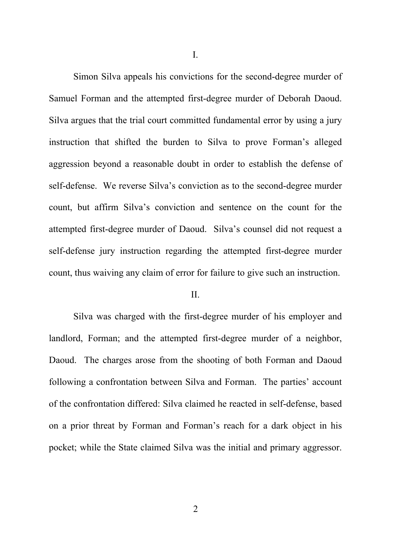I.

Simon Silva appeals his convictions for the second-degree murder of Samuel Forman and the attempted first-degree murder of Deborah Daoud. Silva argues that the trial court committed fundamental error by using a jury instruction that shifted the burden to Silva to prove Forman's alleged aggression beyond a reasonable doubt in order to establish the defense of self-defense. We reverse Silva's conviction as to the second-degree murder count, but affirm Silva's conviction and sentence on the count for the attempted first-degree murder of Daoud. Silva's counsel did not request a self-defense jury instruction regarding the attempted first-degree murder count, thus waiving any claim of error for failure to give such an instruction.

II.

Silva was charged with the first-degree murder of his employer and landlord, Forman; and the attempted first-degree murder of a neighbor, Daoud. The charges arose from the shooting of both Forman and Daoud following a confrontation between Silva and Forman. The parties' account of the confrontation differed: Silva claimed he reacted in self-defense, based on a prior threat by Forman and Forman's reach for a dark object in his pocket; while the State claimed Silva was the initial and primary aggressor.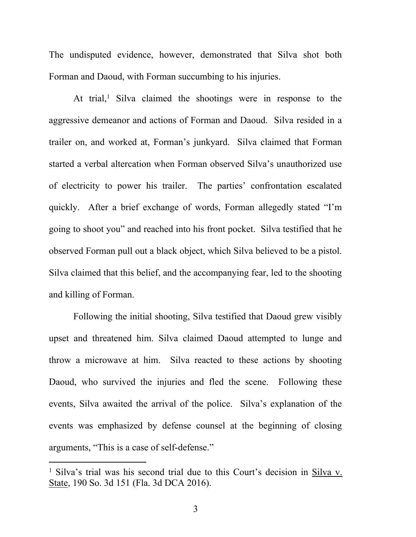The undisputed evidence, however, demonstrated that Silva shot both Forman and Daoud, with Forman succumbing to his injuries.

At trial,<sup>1</sup> Silva claimed the shootings were in response to the aggressive demeanor and actions of Forman and Daoud. Silva resided in a trailer on, and worked at, Forman's junkyard. Silva claimed that Forman started a verbal altercation when Forman observed Silva's unauthorized use of electricity to power his trailer. The parties' confrontation escalated quickly. After a brief exchange of words, Forman allegedly stated "I'm going to shoot you" and reached into his front pocket. Silva testified that he observed Forman pull out a black object, which Silva believed to be a pistol. Silva claimed that this belief, and the accompanying fear, led to the shooting and killing of Forman.

Following the initial shooting, Silva testified that Daoud grew visibly upset and threatened him. Silva claimed Daoud attempted to lunge and throw a microwave at him. Silva reacted to these actions by shooting Daoud, who survived the injuries and fled the scene. Following these events, Silva awaited the arrival of the police. Silva's explanation of the events was emphasized by defense counsel at the beginning of closing arguments, "This is a case of self-defense."

<sup>1</sup> Silva's trial was his second trial due to this Court's decision in Silva v. State, 190 So. 3d 151 (Fla. 3d DCA 2016).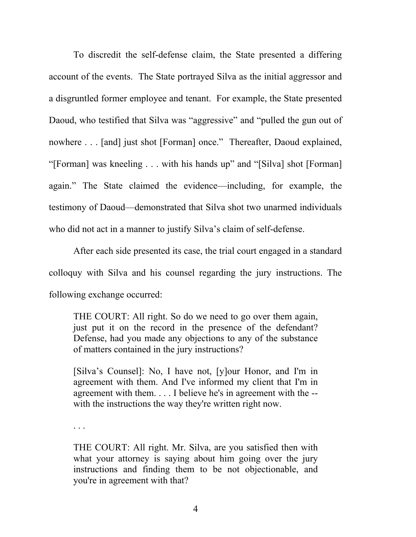To discredit the self-defense claim, the State presented a differing account of the events. The State portrayed Silva as the initial aggressor and a disgruntled former employee and tenant. For example, the State presented Daoud, who testified that Silva was "aggressive" and "pulled the gun out of nowhere . . . [and] just shot [Forman] once." Thereafter, Daoud explained, "[Forman] was kneeling . . . with his hands up" and "[Silva] shot [Forman] again." The State claimed the evidence—including, for example, the testimony of Daoud—demonstrated that Silva shot two unarmed individuals who did not act in a manner to justify Silva's claim of self-defense.

After each side presented its case, the trial court engaged in a standard colloquy with Silva and his counsel regarding the jury instructions. The following exchange occurred:

THE COURT: All right. So do we need to go over them again, just put it on the record in the presence of the defendant? Defense, had you made any objections to any of the substance of matters contained in the jury instructions?

[Silva's Counsel]: No, I have not, [y]our Honor, and I'm in agreement with them. And I've informed my client that I'm in agreement with them. . . . I believe he's in agreement with the - with the instructions the way they're written right now.

. . .

THE COURT: All right. Mr. Silva, are you satisfied then with what your attorney is saying about him going over the jury instructions and finding them to be not objectionable, and you're in agreement with that?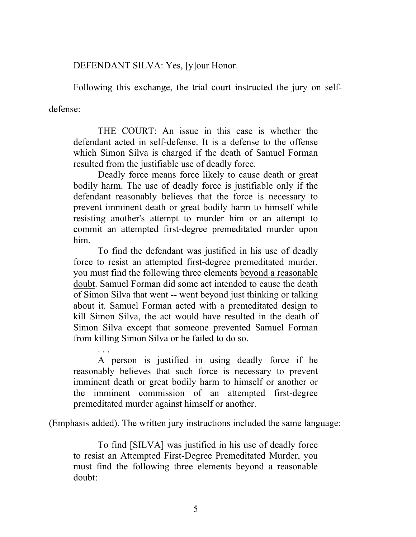DEFENDANT SILVA: Yes, [y]our Honor.

Following this exchange, the trial court instructed the jury on self-

defense:

THE COURT: An issue in this case is whether the defendant acted in self-defense. It is a defense to the offense which Simon Silva is charged if the death of Samuel Forman resulted from the justifiable use of deadly force.

Deadly force means force likely to cause death or great bodily harm. The use of deadly force is justifiable only if the defendant reasonably believes that the force is necessary to prevent imminent death or great bodily harm to himself while resisting another's attempt to murder him or an attempt to commit an attempted first-degree premeditated murder upon him.

To find the defendant was justified in his use of deadly force to resist an attempted first-degree premeditated murder, you must find the following three elements beyond a reasonable doubt. Samuel Forman did some act intended to cause the death of Simon Silva that went -- went beyond just thinking or talking about it. Samuel Forman acted with a premeditated design to kill Simon Silva, the act would have resulted in the death of Simon Silva except that someone prevented Samuel Forman from killing Simon Silva or he failed to do so.

. . . A person is justified in using deadly force if he reasonably believes that such force is necessary to prevent imminent death or great bodily harm to himself or another or the imminent commission of an attempted first-degree premeditated murder against himself or another.

(Emphasis added). The written jury instructions included the same language:

To find [SILVA] was justified in his use of deadly force to resist an Attempted First-Degree Premeditated Murder, you must find the following three elements beyond a reasonable doubt: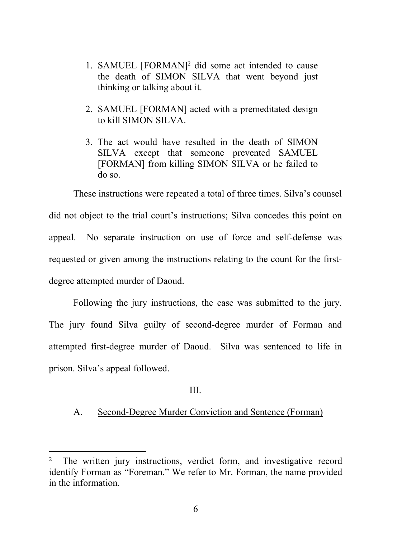- 1. SAMUEL [FORMAN]<sup>2</sup> did some act intended to cause the death of SIMON SILVA that went beyond just thinking or talking about it.
- 2. SAMUEL [FORMAN] acted with a premeditated design to kill SIMON SILVA.
- 3. The act would have resulted in the death of SIMON SILVA except that someone prevented SAMUEL [FORMAN] from killing SIMON SILVA or he failed to do so.

These instructions were repeated a total of three times. Silva's counsel did not object to the trial court's instructions; Silva concedes this point on appeal. No separate instruction on use of force and self-defense was requested or given among the instructions relating to the count for the firstdegree attempted murder of Daoud.

Following the jury instructions, the case was submitted to the jury. The jury found Silva guilty of second-degree murder of Forman and attempted first-degree murder of Daoud. Silva was sentenced to life in prison. Silva's appeal followed.

#### III.

### A. Second-Degree Murder Conviction and Sentence (Forman)

<sup>2</sup> The written jury instructions, verdict form, and investigative record identify Forman as "Foreman." We refer to Mr. Forman, the name provided in the information.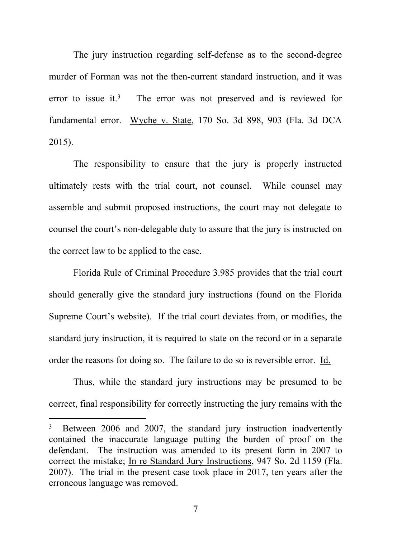The jury instruction regarding self-defense as to the second-degree murder of Forman was not the then-current standard instruction, and it was error to issue it  $3$  The error was not preserved and is reviewed for fundamental error. Wyche v. State, 170 So. 3d 898, 903 (Fla. 3d DCA 2015).

The responsibility to ensure that the jury is properly instructed ultimately rests with the trial court, not counsel. While counsel may assemble and submit proposed instructions, the court may not delegate to counsel the court's non-delegable duty to assure that the jury is instructed on the correct law to be applied to the case.

Florida Rule of Criminal Procedure 3.985 provides that the trial court should generally give the standard jury instructions (found on the Florida Supreme Court's website). If the trial court deviates from, or modifies, the standard jury instruction, it is required to state on the record or in a separate order the reasons for doing so. The failure to do so is reversible error. Id.

Thus, while the standard jury instructions may be presumed to be correct, final responsibility for correctly instructing the jury remains with the

<sup>3</sup> Between 2006 and 2007, the standard jury instruction inadvertently contained the inaccurate language putting the burden of proof on the defendant. The instruction was amended to its present form in 2007 to correct the mistake; In re Standard Jury Instructions, 947 So. 2d 1159 (Fla. 2007). The trial in the present case took place in 2017, ten years after the erroneous language was removed.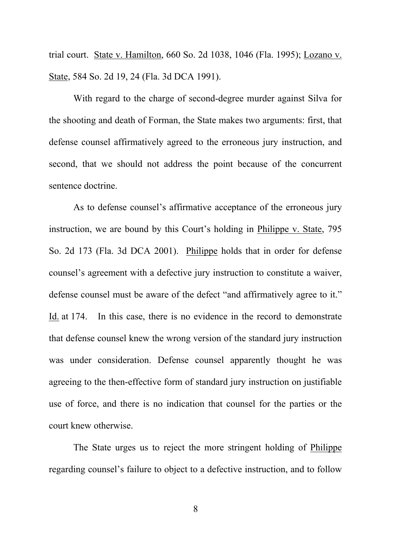trial court. State v. Hamilton, 660 So. 2d 1038, 1046 (Fla. 1995); Lozano v. State, 584 So. 2d 19, 24 (Fla. 3d DCA 1991).

With regard to the charge of second-degree murder against Silva for the shooting and death of Forman, the State makes two arguments: first, that defense counsel affirmatively agreed to the erroneous jury instruction, and second, that we should not address the point because of the concurrent sentence doctrine.

As to defense counsel's affirmative acceptance of the erroneous jury instruction, we are bound by this Court's holding in Philippe v. State, 795 So. 2d 173 (Fla. 3d DCA 2001). Philippe holds that in order for defense counsel's agreement with a defective jury instruction to constitute a waiver, defense counsel must be aware of the defect "and affirmatively agree to it." Id. at 174. In this case, there is no evidence in the record to demonstrate that defense counsel knew the wrong version of the standard jury instruction was under consideration. Defense counsel apparently thought he was agreeing to the then-effective form of standard jury instruction on justifiable use of force, and there is no indication that counsel for the parties or the court knew otherwise.

The State urges us to reject the more stringent holding of Philippe regarding counsel's failure to object to a defective instruction, and to follow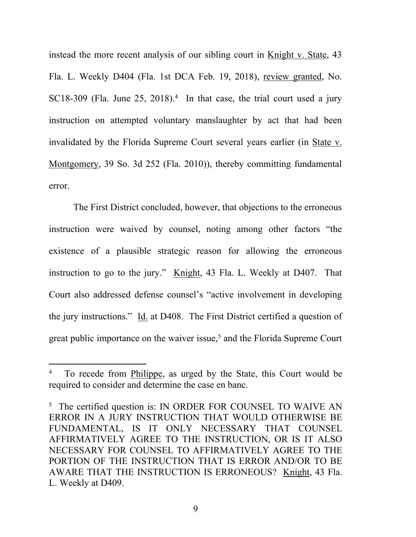instead the more recent analysis of our sibling court in Knight v. State, 43 Fla. L. Weekly D404 (Fla. 1st DCA Feb. 19, 2018), review granted, No. SC18-309 (Fla. June  $25$ ,  $2018$ ).<sup>4</sup> In that case, the trial court used a jury instruction on attempted voluntary manslaughter by act that had been invalidated by the Florida Supreme Court several years earlier (in State v. Montgomery, 39 So. 3d 252 (Fla. 2010)), thereby committing fundamental error.

The First District concluded, however, that objections to the erroneous instruction were waived by counsel, noting among other factors "the existence of a plausible strategic reason for allowing the erroneous instruction to go to the jury." Knight, 43 Fla. L. Weekly at D407. That Court also addressed defense counsel's "active involvement in developing the jury instructions." Id. at D408. The First District certified a question of great public importance on the waiver issue,<sup>5</sup> and the Florida Supreme Court

<sup>4</sup> To recede from Philippe, as urged by the State, this Court would be required to consider and determine the case en banc.

<sup>&</sup>lt;sup>5</sup> The certified question is: IN ORDER FOR COUNSEL TO WAIVE AN ERROR IN A JURY INSTRUCTION THAT WOULD OTHERWISE BE FUNDAMENTAL, IS IT ONLY NECESSARY THAT COUNSEL AFFIRMATIVELY AGREE TO THE INSTRUCTION, OR IS IT ALSO NECESSARY FOR COUNSEL TO AFFIRMATIVELY AGREE TO THE PORTION OF THE INSTRUCTION THAT IS ERROR AND/OR TO BE AWARE THAT THE INSTRUCTION IS ERRONEOUS? Knight, 43 Fla. L. Weekly at D409.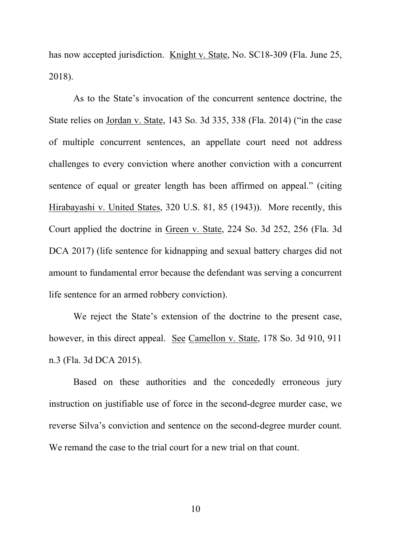has now accepted jurisdiction. Knight v. State, No. SC18-309 (Fla. June 25, 2018).

As to the State's invocation of the concurrent sentence doctrine, the State relies on Jordan v. State, 143 So. 3d 335, 338 (Fla. 2014) ("in the case of multiple concurrent sentences, an appellate court need not address challenges to every conviction where another conviction with a concurrent sentence of equal or greater length has been affirmed on appeal." (citing Hirabayashi v. United States, 320 U.S. 81, 85 (1943)). More recently, this Court applied the doctrine in Green v. State, 224 So. 3d 252, 256 (Fla. 3d DCA 2017) (life sentence for kidnapping and sexual battery charges did not amount to fundamental error because the defendant was serving a concurrent life sentence for an armed robbery conviction).

We reject the State's extension of the doctrine to the present case, however, in this direct appeal. See Camellon v. State, 178 So. 3d 910, 911 n.3 (Fla. 3d DCA 2015).

Based on these authorities and the concededly erroneous jury instruction on justifiable use of force in the second-degree murder case, we reverse Silva's conviction and sentence on the second-degree murder count. We remand the case to the trial court for a new trial on that count.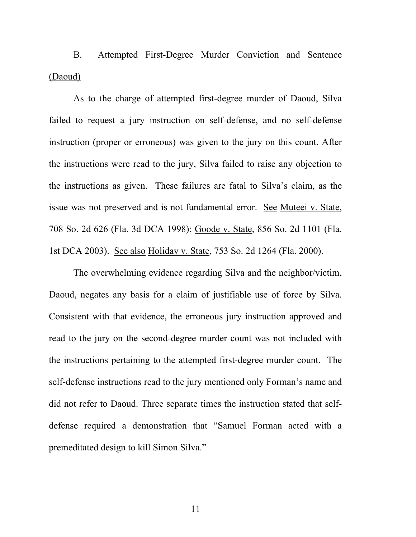B. Attempted First-Degree Murder Conviction and Sentence (Daoud)

As to the charge of attempted first-degree murder of Daoud, Silva failed to request a jury instruction on self-defense, and no self-defense instruction (proper or erroneous) was given to the jury on this count. After the instructions were read to the jury, Silva failed to raise any objection to the instructions as given. These failures are fatal to Silva's claim, as the issue was not preserved and is not fundamental error. See Muteei v. State, 708 So. 2d 626 (Fla. 3d DCA 1998); Goode v. State, 856 So. 2d 1101 (Fla. 1st DCA 2003). See also Holiday v. State, 753 So. 2d 1264 (Fla. 2000).

The overwhelming evidence regarding Silva and the neighbor/victim, Daoud, negates any basis for a claim of justifiable use of force by Silva. Consistent with that evidence, the erroneous jury instruction approved and read to the jury on the second-degree murder count was not included with the instructions pertaining to the attempted first-degree murder count. The self-defense instructions read to the jury mentioned only Forman's name and did not refer to Daoud. Three separate times the instruction stated that selfdefense required a demonstration that "Samuel Forman acted with a premeditated design to kill Simon Silva."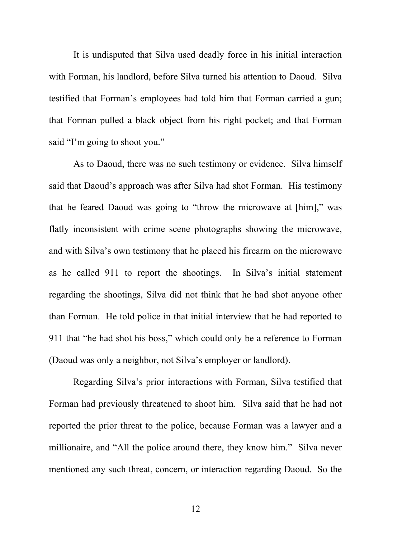It is undisputed that Silva used deadly force in his initial interaction with Forman, his landlord, before Silva turned his attention to Daoud. Silva testified that Forman's employees had told him that Forman carried a gun; that Forman pulled a black object from his right pocket; and that Forman said "I'm going to shoot you."

As to Daoud, there was no such testimony or evidence. Silva himself said that Daoud's approach was after Silva had shot Forman. His testimony that he feared Daoud was going to "throw the microwave at [him]," was flatly inconsistent with crime scene photographs showing the microwave, and with Silva's own testimony that he placed his firearm on the microwave as he called 911 to report the shootings. In Silva's initial statement regarding the shootings, Silva did not think that he had shot anyone other than Forman. He told police in that initial interview that he had reported to 911 that "he had shot his boss," which could only be a reference to Forman (Daoud was only a neighbor, not Silva's employer or landlord).

Regarding Silva's prior interactions with Forman, Silva testified that Forman had previously threatened to shoot him. Silva said that he had not reported the prior threat to the police, because Forman was a lawyer and a millionaire, and "All the police around there, they know him." Silva never mentioned any such threat, concern, or interaction regarding Daoud. So the

12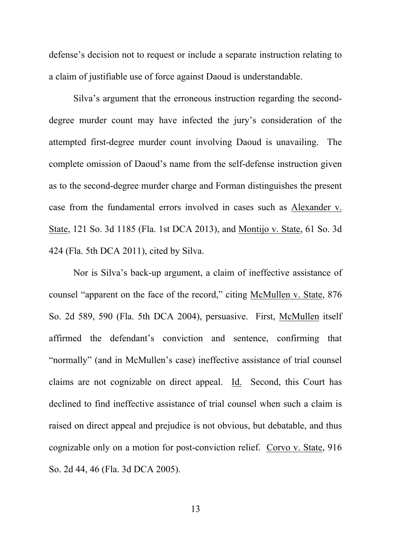defense's decision not to request or include a separate instruction relating to a claim of justifiable use of force against Daoud is understandable.

Silva's argument that the erroneous instruction regarding the seconddegree murder count may have infected the jury's consideration of the attempted first-degree murder count involving Daoud is unavailing. The complete omission of Daoud's name from the self-defense instruction given as to the second-degree murder charge and Forman distinguishes the present case from the fundamental errors involved in cases such as Alexander v. State, 121 So. 3d 1185 (Fla. 1st DCA 2013), and Montijo v. State, 61 So. 3d 424 (Fla. 5th DCA 2011), cited by Silva.

Nor is Silva's back-up argument, a claim of ineffective assistance of counsel "apparent on the face of the record," citing McMullen v. State, 876 So. 2d 589, 590 (Fla. 5th DCA 2004), persuasive. First, McMullen itself affirmed the defendant's conviction and sentence, confirming that "normally" (and in McMullen's case) ineffective assistance of trial counsel claims are not cognizable on direct appeal. Id. Second, this Court has declined to find ineffective assistance of trial counsel when such a claim is raised on direct appeal and prejudice is not obvious, but debatable, and thus cognizable only on a motion for post-conviction relief. Corvo v. State, 916 So. 2d 44, 46 (Fla. 3d DCA 2005).